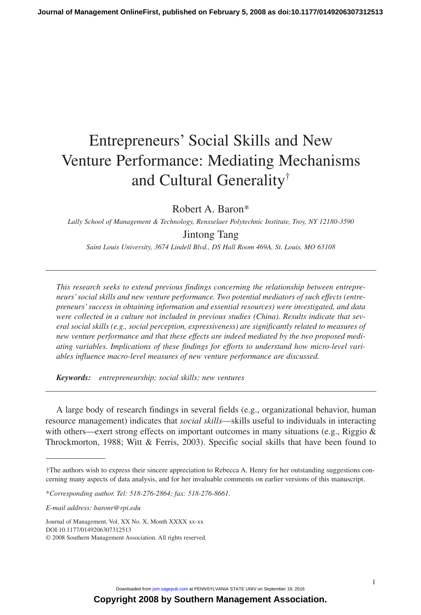# Entrepreneurs' Social Skills and New Venture Performance: Mediating Mechanisms and Cultural Generality†

Robert A. Baron\*

*Lally School of Management & Technology, Rensselaer Polytechnic Institute, Troy, NY 12180-3590* Jintong Tang

*Saint Louis University, 3674 Lindell Blvd., DS Hall Room 469A, St. Louis, MO 63108*

*This research seeks to extend previous findings concerning the relationship between entrepreneurs'social skills and new venture performance. Two potential mediators of such effects (entrepreneurs' success in obtaining information and essential resources) were investigated, and data were collected in a culture not included in previous studies (China). Results indicate that several social skills (e.g., social perception, expressiveness) are significantly related to measures of new venture performance and that these effects are indeed mediated by the two proposed mediating variables. Implications of these findings for efforts to understand how micro-level variables influence macro-level measures of new venture performance are discussed.*

*Keywords: entrepreneurship; social skills; new ventures*

A large body of research findings in several fields (e.g., organizational behavior, human resource management) indicates that *social skills*—skills useful to individuals in interacting with others—exert strong effects on important outcomes in many situations (e.g., Riggio  $\&$ Throckmorton, 1988; Witt & Ferris, 2003). Specific social skills that have been found to

<sup>†</sup>The authors wish to express their sincere appreciation to Rebecca A. Henry for her outstanding suggestions concerning many aspects of data analysis, and for her invaluable comments on earlier versions of this manuscript.

<sup>\*</sup>*Corresponding author. Tel: 518-276-2864; fax: 518-276-8661.*

*E-mail address: baronr@rpi.edu*

Journal of Management, Vol. XX No. X, Month XXXX xx-xx DOI:10.1177/0149206307312513

<sup>© 2008</sup> Southern Management Association. All rights reserved.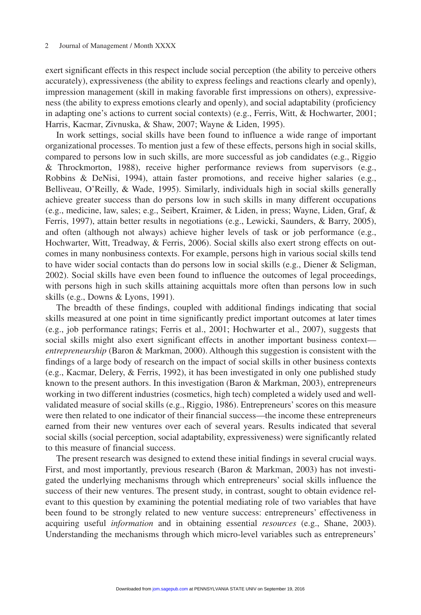exert significant effects in this respect include social perception (the ability to perceive others accurately), expressiveness (the ability to express feelings and reactions clearly and openly), impression management (skill in making favorable first impressions on others), expressiveness (the ability to express emotions clearly and openly), and social adaptability (proficiency in adapting one's actions to current social contexts) (e.g., Ferris, Witt, & Hochwarter, 2001; Harris, Kacmar, Zivnuska, & Shaw, 2007; Wayne & Liden, 1995).

In work settings, social skills have been found to influence a wide range of important organizational processes. To mention just a few of these effects, persons high in social skills, compared to persons low in such skills, are more successful as job candidates (e.g., Riggio & Throckmorton, 1988), receive higher performance reviews from supervisors (e.g., Robbins & DeNisi, 1994), attain faster promotions, and receive higher salaries (e.g., Belliveau, O'Reilly, & Wade, 1995). Similarly, individuals high in social skills generally achieve greater success than do persons low in such skills in many different occupations (e.g., medicine, law, sales; e.g., Seibert, Kraimer, & Liden, in press; Wayne, Liden, Graf, & Ferris, 1997), attain better results in negotiations (e.g., Lewicki, Saunders, & Barry, 2005), and often (although not always) achieve higher levels of task or job performance (e.g., Hochwarter, Witt, Treadway, & Ferris, 2006). Social skills also exert strong effects on outcomes in many nonbusiness contexts. For example, persons high in various social skills tend to have wider social contacts than do persons low in social skills (e.g., Diener & Seligman, 2002). Social skills have even been found to influence the outcomes of legal proceedings, with persons high in such skills attaining acquittals more often than persons low in such skills (e.g., Downs & Lyons, 1991).

The breadth of these findings, coupled with additional findings indicating that social skills measured at one point in time significantly predict important outcomes at later times (e.g., job performance ratings; Ferris et al., 2001; Hochwarter et al., 2007), suggests that social skills might also exert significant effects in another important business context *entrepreneurship* (Baron & Markman, 2000). Although this suggestion is consistent with the findings of a large body of research on the impact of social skills in other business contexts (e.g., Kacmar, Delery, & Ferris, 1992), it has been investigated in only one published study known to the present authors. In this investigation (Baron & Markman, 2003), entrepreneurs working in two different industries (cosmetics, high tech) completed a widely used and wellvalidated measure of social skills (e.g., Riggio, 1986). Entrepreneurs' scores on this measure were then related to one indicator of their financial success—the income these entrepreneurs earned from their new ventures over each of several years. Results indicated that several social skills (social perception, social adaptability, expressiveness) were significantly related to this measure of financial success.

The present research was designed to extend these initial findings in several crucial ways. First, and most importantly, previous research (Baron & Markman, 2003) has not investigated the underlying mechanisms through which entrepreneurs' social skills influence the success of their new ventures. The present study, in contrast, sought to obtain evidence relevant to this question by examining the potential mediating role of two variables that have been found to be strongly related to new venture success: entrepreneurs' effectiveness in acquiring useful *information* and in obtaining essential *resources* (e.g., Shane, 2003). Understanding the mechanisms through which micro-level variables such as entrepreneurs'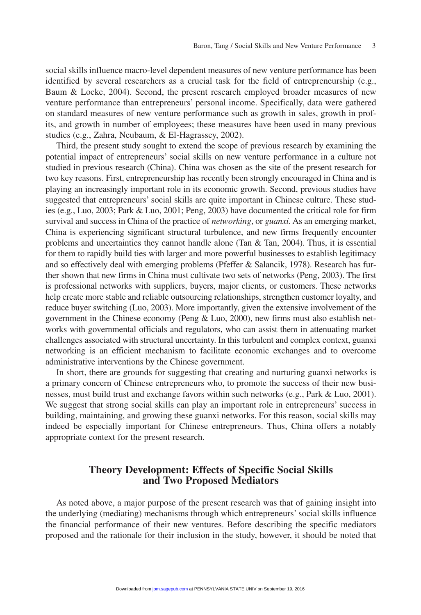social skills influence macro-level dependent measures of new venture performance has been identified by several researchers as a crucial task for the field of entrepreneurship (e.g., Baum & Locke, 2004). Second, the present research employed broader measures of new venture performance than entrepreneurs' personal income. Specifically, data were gathered on standard measures of new venture performance such as growth in sales, growth in profits, and growth in number of employees; these measures have been used in many previous studies (e.g., Zahra, Neubaum, & El-Hagrassey, 2002).

Third, the present study sought to extend the scope of previous research by examining the potential impact of entrepreneurs' social skills on new venture performance in a culture not studied in previous research (China). China was chosen as the site of the present research for two key reasons. First, entrepreneurship has recently been strongly encouraged in China and is playing an increasingly important role in its economic growth. Second, previous studies have suggested that entrepreneurs' social skills are quite important in Chinese culture. These studies (e.g., Luo, 2003; Park & Luo, 2001; Peng, 2003) have documented the critical role for firm survival and success in China of the practice of *networking*, or *guanxi.* As an emerging market, China is experiencing significant structural turbulence, and new firms frequently encounter problems and uncertainties they cannot handle alone (Tan & Tan, 2004). Thus, it is essential for them to rapidly build ties with larger and more powerful businesses to establish legitimacy and so effectively deal with emerging problems (Pfeffer & Salancik, 1978). Research has further shown that new firms in China must cultivate two sets of networks (Peng, 2003). The first is professional networks with suppliers, buyers, major clients, or customers. These networks help create more stable and reliable outsourcing relationships, strengthen customer loyalty, and reduce buyer switching (Luo, 2003). More importantly, given the extensive involvement of the government in the Chinese economy (Peng  $&\&$  Luo, 2000), new firms must also establish networks with governmental officials and regulators, who can assist them in attenuating market challenges associated with structural uncertainty. In this turbulent and complex context, guanxi networking is an efficient mechanism to facilitate economic exchanges and to overcome administrative interventions by the Chinese government.

In short, there are grounds for suggesting that creating and nurturing guanxi networks is a primary concern of Chinese entrepreneurs who, to promote the success of their new businesses, must build trust and exchange favors within such networks (e.g., Park & Luo, 2001). We suggest that strong social skills can play an important role in entrepreneurs' success in building, maintaining, and growing these guanxi networks. For this reason, social skills may indeed be especially important for Chinese entrepreneurs. Thus, China offers a notably appropriate context for the present research.

# **Theory Development: Effects of Specific Social Skills and Two Proposed Mediators**

As noted above, a major purpose of the present research was that of gaining insight into the underlying (mediating) mechanisms through which entrepreneurs' social skills influence the financial performance of their new ventures. Before describing the specific mediators proposed and the rationale for their inclusion in the study, however, it should be noted that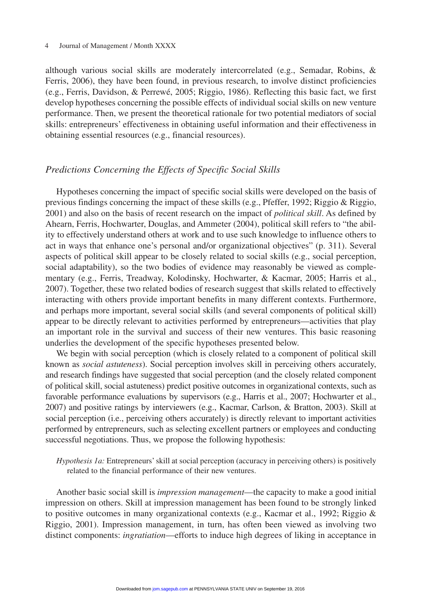although various social skills are moderately intercorrelated (e.g., Semadar, Robins, & Ferris, 2006), they have been found, in previous research, to involve distinct proficiencies (e.g., Ferris, Davidson, & Perrewé, 2005; Riggio, 1986). Reflecting this basic fact, we first develop hypotheses concerning the possible effects of individual social skills on new venture performance. Then, we present the theoretical rationale for two potential mediators of social skills: entrepreneurs' effectiveness in obtaining useful information and their effectiveness in obtaining essential resources (e.g., financial resources).

## *Predictions Concerning the Effects of Specific Social Skills*

Hypotheses concerning the impact of specific social skills were developed on the basis of previous findings concerning the impact of these skills (e.g., Pfeffer, 1992; Riggio & Riggio, 2001) and also on the basis of recent research on the impact of *political skill*. As defined by Ahearn, Ferris, Hochwarter, Douglas, and Ammeter (2004), political skill refers to "the ability to effectively understand others at work and to use such knowledge to influence others to act in ways that enhance one's personal and/or organizational objectives" (p. 311). Several aspects of political skill appear to be closely related to social skills (e.g., social perception, social adaptability), so the two bodies of evidence may reasonably be viewed as complementary (e.g., Ferris, Treadway, Kolodinsky, Hochwarter, & Kacmar, 2005; Harris et al., 2007). Together, these two related bodies of research suggest that skills related to effectively interacting with others provide important benefits in many different contexts. Furthermore, and perhaps more important, several social skills (and several components of political skill) appear to be directly relevant to activities performed by entrepreneurs—activities that play an important role in the survival and success of their new ventures. This basic reasoning underlies the development of the specific hypotheses presented below.

We begin with social perception (which is closely related to a component of political skill known as *social astuteness*). Social perception involves skill in perceiving others accurately, and research findings have suggested that social perception (and the closely related component of political skill, social astuteness) predict positive outcomes in organizational contexts, such as favorable performance evaluations by supervisors (e.g., Harris et al., 2007; Hochwarter et al., 2007) and positive ratings by interviewers (e.g., Kacmar, Carlson, & Bratton, 2003). Skill at social perception (i.e., perceiving others accurately) is directly relevant to important activities performed by entrepreneurs, such as selecting excellent partners or employees and conducting successful negotiations. Thus, we propose the following hypothesis:

*Hypothesis 1a:* Entrepreneurs' skill at social perception (accuracy in perceiving others) is positively related to the financial performance of their new ventures.

Another basic social skill is *impression management*—the capacity to make a good initial impression on others. Skill at impression management has been found to be strongly linked to positive outcomes in many organizational contexts (e.g., Kacmar et al., 1992; Riggio & Riggio, 2001). Impression management, in turn, has often been viewed as involving two distinct components: *ingratiation*—efforts to induce high degrees of liking in acceptance in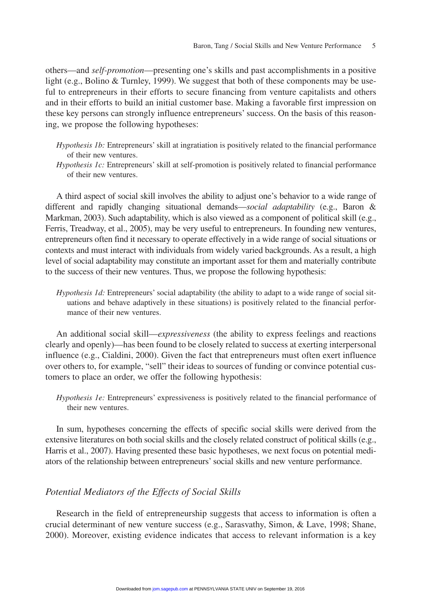others—and *self-promotion*—presenting one's skills and past accomplishments in a positive light (e.g., Bolino & Turnley, 1999). We suggest that both of these components may be useful to entrepreneurs in their efforts to secure financing from venture capitalists and others and in their efforts to build an initial customer base. Making a favorable first impression on these key persons can strongly influence entrepreneurs' success. On the basis of this reasoning, we propose the following hypotheses:

- *Hypothesis 1b:* Entrepreneurs' skill at ingratiation is positively related to the financial performance of their new ventures.
- *Hypothesis 1c:* Entrepreneurs' skill at self-promotion is positively related to financial performance of their new ventures.

A third aspect of social skill involves the ability to adjust one's behavior to a wide range of different and rapidly changing situational demands—*social adaptability* (e.g., Baron & Markman, 2003). Such adaptability, which is also viewed as a component of political skill (e.g., Ferris, Treadway, et al., 2005), may be very useful to entrepreneurs. In founding new ventures, entrepreneurs often find it necessary to operate effectively in a wide range of social situations or contexts and must interact with individuals from widely varied backgrounds. As a result, a high level of social adaptability may constitute an important asset for them and materially contribute to the success of their new ventures. Thus, we propose the following hypothesis:

*Hypothesis 1d:* Entrepreneurs' social adaptability (the ability to adapt to a wide range of social situations and behave adaptively in these situations) is positively related to the financial performance of their new ventures.

An additional social skill—*expressiveness* (the ability to express feelings and reactions clearly and openly)—has been found to be closely related to success at exerting interpersonal influence (e.g., Cialdini, 2000). Given the fact that entrepreneurs must often exert influence over others to, for example, "sell" their ideas to sources of funding or convince potential customers to place an order, we offer the following hypothesis:

*Hypothesis 1e:* Entrepreneurs' expressiveness is positively related to the financial performance of their new ventures.

In sum, hypotheses concerning the effects of specific social skills were derived from the extensive literatures on both social skills and the closely related construct of political skills (e.g., Harris et al., 2007). Having presented these basic hypotheses, we next focus on potential mediators of the relationship between entrepreneurs' social skills and new venture performance.

## *Potential Mediators of the Effects of Social Skills*

Research in the field of entrepreneurship suggests that access to information is often a crucial determinant of new venture success (e.g., Sarasvathy, Simon, & Lave, 1998; Shane, 2000). Moreover, existing evidence indicates that access to relevant information is a key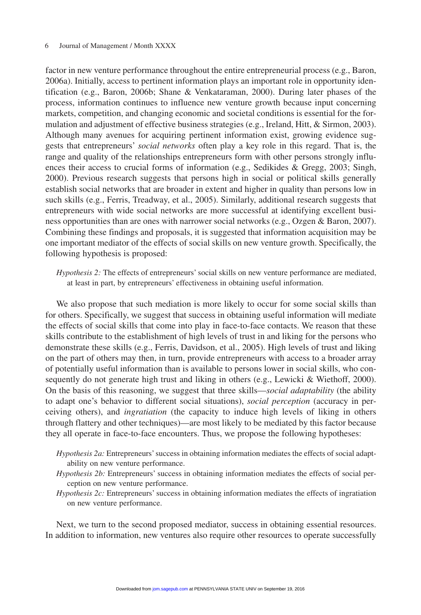factor in new venture performance throughout the entire entrepreneurial process (e.g., Baron, 2006a). Initially, access to pertinent information plays an important role in opportunity identification (e.g., Baron, 2006b; Shane & Venkataraman, 2000). During later phases of the process, information continues to influence new venture growth because input concerning markets, competition, and changing economic and societal conditions is essential for the formulation and adjustment of effective business strategies (e.g., Ireland, Hitt, & Sirmon, 2003). Although many avenues for acquiring pertinent information exist, growing evidence suggests that entrepreneurs' *social networks* often play a key role in this regard. That is, the range and quality of the relationships entrepreneurs form with other persons strongly influences their access to crucial forms of information (e.g., Sedikides & Gregg, 2003; Singh, 2000). Previous research suggests that persons high in social or political skills generally establish social networks that are broader in extent and higher in quality than persons low in such skills (e.g., Ferris, Treadway, et al., 2005). Similarly, additional research suggests that entrepreneurs with wide social networks are more successful at identifying excellent business opportunities than are ones with narrower social networks (e.g., Ozgen & Baron, 2007). Combining these findings and proposals, it is suggested that information acquisition may be one important mediator of the effects of social skills on new venture growth. Specifically, the following hypothesis is proposed:

*Hypothesis 2:* The effects of entrepreneurs' social skills on new venture performance are mediated, at least in part, by entrepreneurs' effectiveness in obtaining useful information.

We also propose that such mediation is more likely to occur for some social skills than for others. Specifically, we suggest that success in obtaining useful information will mediate the effects of social skills that come into play in face-to-face contacts. We reason that these skills contribute to the establishment of high levels of trust in and liking for the persons who demonstrate these skills (e.g., Ferris, Davidson, et al., 2005). High levels of trust and liking on the part of others may then, in turn, provide entrepreneurs with access to a broader array of potentially useful information than is available to persons lower in social skills, who consequently do not generate high trust and liking in others (e.g., Lewicki & Wiethoff, 2000). On the basis of this reasoning, we suggest that three skills—*social adaptability* (the ability to adapt one's behavior to different social situations), *social perception* (accuracy in perceiving others), and *ingratiation* (the capacity to induce high levels of liking in others through flattery and other techniques)—are most likely to be mediated by this factor because they all operate in face-to-face encounters. Thus, we propose the following hypotheses:

- *Hypothesis 2a:* Entrepreneurs' success in obtaining information mediates the effects of social adaptability on new venture performance.
- *Hypothesis 2b:* Entrepreneurs' success in obtaining information mediates the effects of social perception on new venture performance.
- *Hypothesis 2c:* Entrepreneurs' success in obtaining information mediates the effects of ingratiation on new venture performance.

Next, we turn to the second proposed mediator, success in obtaining essential resources. In addition to information, new ventures also require other resources to operate successfully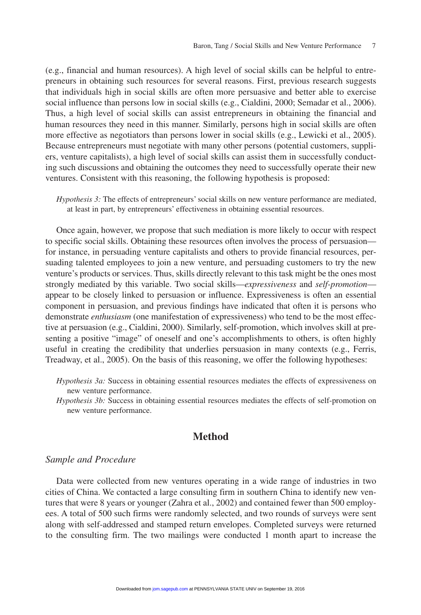(e.g., financial and human resources). A high level of social skills can be helpful to entrepreneurs in obtaining such resources for several reasons. First, previous research suggests that individuals high in social skills are often more persuasive and better able to exercise social influence than persons low in social skills (e.g., Cialdini, 2000; Semadar et al., 2006). Thus, a high level of social skills can assist entrepreneurs in obtaining the financial and human resources they need in this manner. Similarly, persons high in social skills are often more effective as negotiators than persons lower in social skills (e.g., Lewicki et al., 2005). Because entrepreneurs must negotiate with many other persons (potential customers, suppliers, venture capitalists), a high level of social skills can assist them in successfully conducting such discussions and obtaining the outcomes they need to successfully operate their new ventures. Consistent with this reasoning, the following hypothesis is proposed:

*Hypothesis 3:* The effects of entrepreneurs' social skills on new venture performance are mediated, at least in part, by entrepreneurs' effectiveness in obtaining essential resources.

Once again, however, we propose that such mediation is more likely to occur with respect to specific social skills. Obtaining these resources often involves the process of persuasion for instance, in persuading venture capitalists and others to provide financial resources, persuading talented employees to join a new venture, and persuading customers to try the new venture's products or services. Thus, skills directly relevant to this task might be the ones most strongly mediated by this variable. Two social skills—*expressiveness* and *self-promotion* appear to be closely linked to persuasion or influence. Expressiveness is often an essential component in persuasion, and previous findings have indicated that often it is persons who demonstrate *enthusiasm* (one manifestation of expressiveness) who tend to be the most effective at persuasion (e.g., Cialdini, 2000). Similarly, self-promotion, which involves skill at presenting a positive "image" of oneself and one's accomplishments to others, is often highly useful in creating the credibility that underlies persuasion in many contexts (e.g., Ferris, Treadway, et al., 2005). On the basis of this reasoning, we offer the following hypotheses:

- *Hypothesis 3a:* Success in obtaining essential resources mediates the effects of expressiveness on new venture performance.
- *Hypothesis 3b:* Success in obtaining essential resources mediates the effects of self-promotion on new venture performance.

## **Method**

### *Sample and Procedure*

Data were collected from new ventures operating in a wide range of industries in two cities of China. We contacted a large consulting firm in southern China to identify new ventures that were 8 years or younger (Zahra et al., 2002) and contained fewer than 500 employees. A total of 500 such firms were randomly selected, and two rounds of surveys were sent along with self-addressed and stamped return envelopes. Completed surveys were returned to the consulting firm. The two mailings were conducted 1 month apart to increase the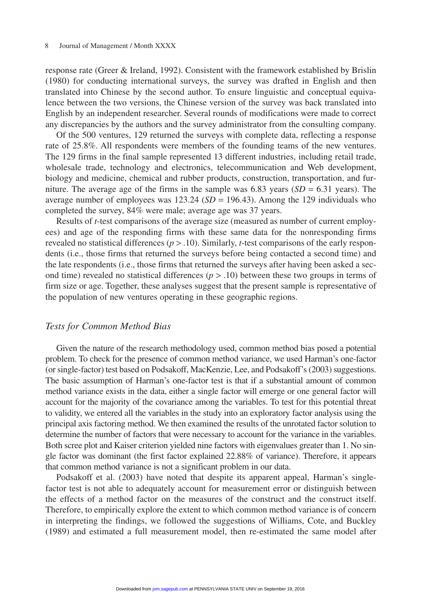response rate (Greer & Ireland, 1992). Consistent with the framework established by Brislin (1980) for conducting international surveys, the survey was drafted in English and then translated into Chinese by the second author. To ensure linguistic and conceptual equivalence between the two versions, the Chinese version of the survey was back translated into English by an independent researcher. Several rounds of modifications were made to correct any discrepancies by the authors and the survey administrator from the consulting company.

Of the 500 ventures, 129 returned the surveys with complete data, reflecting a response rate of 25.8%. All respondents were members of the founding teams of the new ventures. The 129 firms in the final sample represented 13 different industries, including retail trade, wholesale trade, technology and electronics, telecommunication and Web development, biology and medicine, chemical and rubber products, construction, transportation, and furniture. The average age of the firms in the sample was  $6.83$  years  $(SD = 6.31$  years). The average number of employees was  $123.24$  ( $SD = 196.43$ ). Among the 129 individuals who completed the survey, 84% were male; average age was 37 years.

Results of *t*-test comparisons of the average size (measured as number of current employees) and age of the responding firms with these same data for the nonresponding firms revealed no statistical differences  $(p > 0.10)$ . Similarly, *t*-test comparisons of the early respondents (i.e., those firms that returned the surveys before being contacted a second time) and the late respondents (i.e., those firms that returned the surveys after having been asked a second time) revealed no statistical differences  $(p > .10)$  between these two groups in terms of firm size or age. Together, these analyses suggest that the present sample is representative of the population of new ventures operating in these geographic regions.

#### *Tests for Common Method Bias*

Given the nature of the research methodology used, common method bias posed a potential problem. To check for the presence of common method variance, we used Harman's one-factor (or single-factor) test based on Podsakoff, MacKenzie, Lee, and Podsakoff's (2003) suggestions. The basic assumption of Harman's one-factor test is that if a substantial amount of common method variance exists in the data, either a single factor will emerge or one general factor will account for the majority of the covariance among the variables. To test for this potential threat to validity, we entered all the variables in the study into an exploratory factor analysis using the principal axis factoring method. We then examined the results of the unrotated factor solution to determine the number of factors that were necessary to account for the variance in the variables. Both scree plot and Kaiser criterion yielded nine factors with eigenvalues greater than 1. No single factor was dominant (the first factor explained 22.88% of variance). Therefore, it appears that common method variance is not a significant problem in our data.

Podsakoff et al. (2003) have noted that despite its apparent appeal, Harman's singlefactor test is not able to adequately account for measurement error or distinguish between the effects of a method factor on the measures of the construct and the construct itself. Therefore, to empirically explore the extent to which common method variance is of concern in interpreting the findings, we followed the suggestions of Williams, Cote, and Buckley (1989) and estimated a full measurement model, then re-estimated the same model after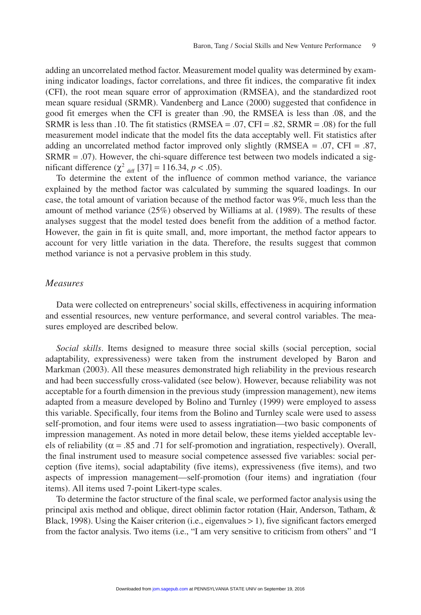adding an uncorrelated method factor. Measurement model quality was determined by examining indicator loadings, factor correlations, and three fit indices, the comparative fit index (CFI), the root mean square error of approximation (RMSEA), and the standardized root mean square residual (SRMR). Vandenberg and Lance (2000) suggested that confidence in good fit emerges when the CFI is greater than .90, the RMSEA is less than .08, and the SRMR is less than .10. The fit statistics  $(RMSEA = .07, CFI = .82, SRMR = .08)$  for the full measurement model indicate that the model fits the data acceptably well. Fit statistics after adding an uncorrelated method factor improved only slightly ( $RMSEA = .07$ ,  $CFI = .87$ ,  $SRMR = .07$ ). However, the chi-square difference test between two models indicated a significant difference ( $\chi^2$ <sub>diff</sub> [37] = 116.34, *p* < .05).

To determine the extent of the influence of common method variance, the variance explained by the method factor was calculated by summing the squared loadings. In our case, the total amount of variation because of the method factor was 9%, much less than the amount of method variance (25%) observed by Williams at al. (1989). The results of these analyses suggest that the model tested does benefit from the addition of a method factor. However, the gain in fit is quite small, and, more important, the method factor appears to account for very little variation in the data. Therefore, the results suggest that common method variance is not a pervasive problem in this study.

### *Measures*

Data were collected on entrepreneurs' social skills, effectiveness in acquiring information and essential resources, new venture performance, and several control variables. The measures employed are described below.

*Social skills*. Items designed to measure three social skills (social perception, social adaptability, expressiveness) were taken from the instrument developed by Baron and Markman (2003). All these measures demonstrated high reliability in the previous research and had been successfully cross-validated (see below). However, because reliability was not acceptable for a fourth dimension in the previous study (impression management), new items adapted from a measure developed by Bolino and Turnley (1999) were employed to assess this variable. Specifically, four items from the Bolino and Turnley scale were used to assess self-promotion, and four items were used to assess ingratiation—two basic components of impression management. As noted in more detail below, these items yielded acceptable levels of reliability ( $\alpha$  = .85 and .71 for self-promotion and ingratiation, respectively). Overall, the final instrument used to measure social competence assessed five variables: social perception (five items), social adaptability (five items), expressiveness (five items), and two aspects of impression management—self-promotion (four items) and ingratiation (four items). All items used 7-point Likert-type scales.

To determine the factor structure of the final scale, we performed factor analysis using the principal axis method and oblique, direct oblimin factor rotation (Hair, Anderson, Tatham, & Black, 1998). Using the Kaiser criterion (i.e., eigenvalues > 1), five significant factors emerged from the factor analysis. Two items (i.e., "I am very sensitive to criticism from others" and "I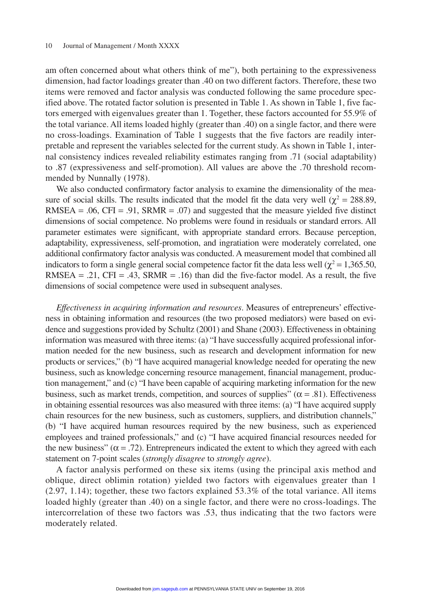am often concerned about what others think of me"), both pertaining to the expressiveness dimension, had factor loadings greater than .40 on two different factors. Therefore, these two items were removed and factor analysis was conducted following the same procedure specified above. The rotated factor solution is presented in Table 1. As shown in Table 1, five factors emerged with eigenvalues greater than 1. Together, these factors accounted for 55.9% of the total variance. All items loaded highly (greater than .40) on a single factor, and there were no cross-loadings. Examination of Table 1 suggests that the five factors are readily interpretable and represent the variables selected for the current study. As shown in Table 1, internal consistency indices revealed reliability estimates ranging from .71 (social adaptability) to .87 (expressiveness and self-promotion). All values are above the .70 threshold recommended by Nunnally (1978).

We also conducted confirmatory factor analysis to examine the dimensionality of the measure of social skills. The results indicated that the model fit the data very well ( $\chi^2 = 288.89$ , RMSEA =  $.06$ , CFI =  $.91$ , SRMR =  $.07$ ) and suggested that the measure yielded five distinct dimensions of social competence. No problems were found in residuals or standard errors. All parameter estimates were significant, with appropriate standard errors. Because perception, adaptability, expressiveness, self-promotion, and ingratiation were moderately correlated, one additional confirmatory factor analysis was conducted. A measurement model that combined all indicators to form a single general social competence factor fit the data less well ( $\chi^2$  = 1,365.50, RMSEA = .21, CFI = .43, SRMR = .16) than did the five-factor model. As a result, the five dimensions of social competence were used in subsequent analyses.

*Effectiveness in acquiring information and resources*. Measures of entrepreneurs' effectiveness in obtaining information and resources (the two proposed mediators) were based on evidence and suggestions provided by Schultz (2001) and Shane (2003). Effectiveness in obtaining information was measured with three items: (a) "I have successfully acquired professional information needed for the new business, such as research and development information for new products or services," (b) "I have acquired managerial knowledge needed for operating the new business, such as knowledge concerning resource management, financial management, production management," and (c) "I have been capable of acquiring marketing information for the new business, such as market trends, competition, and sources of supplies" ( $\alpha$  = .81). Effectiveness in obtaining essential resources was also measured with three items: (a) "I have acquired supply chain resources for the new business, such as customers, suppliers, and distribution channels," (b) "I have acquired human resources required by the new business, such as experienced employees and trained professionals," and (c) "I have acquired financial resources needed for the new business"  $(\alpha = .72)$ . Entrepreneurs indicated the extent to which they agreed with each statement on 7-point scales (*strongly disagree* to *strongly agree*).

A factor analysis performed on these six items (using the principal axis method and oblique, direct oblimin rotation) yielded two factors with eigenvalues greater than 1 (2.97, 1.14); together, these two factors explained 53.3% of the total variance. All items loaded highly (greater than .40) on a single factor, and there were no cross-loadings. The intercorrelation of these two factors was .53, thus indicating that the two factors were moderately related.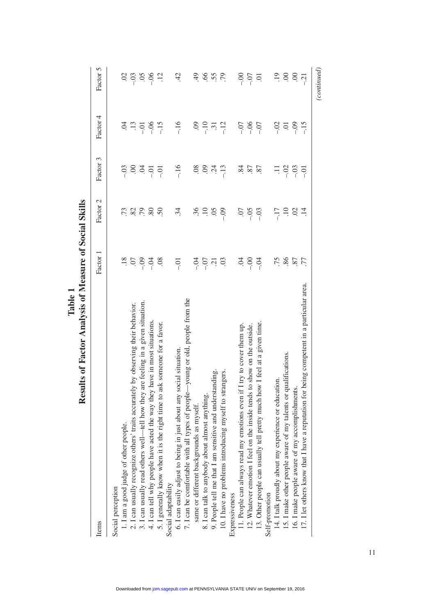| ับ<br>-<br>ֺ֞֝֬֝֬֝֬֝֬׆<br>֧֪֪֪֪֪֪֪֪֪֪֪<br>Measu<br>abl.<br><b>SALBU</b><br>Ē<br>$\mathop{\rm ctor}\nolimits$<br>$\mathbf{f}$<br>$\overline{a}$ |
|------------------------------------------------------------------------------------------------------------------------------------------------|
|------------------------------------------------------------------------------------------------------------------------------------------------|

| tems                                                                                                                                                  | Factor 1            | Factor 2         | Factor 3       | Factor 4         | Factor 5         |
|-------------------------------------------------------------------------------------------------------------------------------------------------------|---------------------|------------------|----------------|------------------|------------------|
| Social perception                                                                                                                                     |                     |                  |                |                  |                  |
| 1. I am a good judge of other people.                                                                                                                 |                     | 73               | $-03$          | S.               | $\overline{0}$   |
| 2. I can usually recognize others' traits accurately by observing their behavior.                                                                     | .07                 | 82               | $\odot$        | $\overline{13}$  | $-0.3$           |
| 3. I can usually read others well-tell how they are feeling in a given situation.                                                                     | $-0.9$              | .79              | $\ddot{5}$     | $\overline{O}$ . | 05               |
| 4. I can tell why people have acted the way they have in most situations.                                                                             | $-0.4$              | 80               | $-0$           | $-06$            | $-0.6$           |
| 5. I generally know when it is the right time to ask someone for a favor.<br>Social adaptability                                                      | 08                  | 50               | Ξ              | $-15$            | $\ddot{c}$       |
| 6. I can easily adjust to being in just about any social situation.<br>7. I can be comfortable with all types of people—young or old, people from the | Ξ                   | 34               | $-16$          | $-16$            | 42               |
|                                                                                                                                                       |                     |                  |                |                  |                  |
| same or different backgrounds as myself.                                                                                                              | $-0.4$              | 36               | $\overline{0}$ | 60.              | $\ddot{ }$       |
| 8. I can talk to anybody about almost anything.                                                                                                       | $-0.7$              | $\ddot{=}$       | 60.            | $-10$            | 89.              |
| 9. People tell me that I am sensitive and understanding.                                                                                              | $\overline{c}$      | 05               | $\ddot{c}$     | $\Xi$            | 55               |
| 10. I have no problems introducing myself to strangers.                                                                                               | $\ddot{\mathrm{0}}$ | $-0.9$           | $-13$          | $-12$            | .79              |
| Expressiveness                                                                                                                                        |                     |                  |                |                  |                  |
| 11. People can always read my emotions even if I try to cover them up.                                                                                | S.                  | $\overline{0}$ . | 84             | $-0$             | $rac{5}{1}$      |
| 12. Whatever emotion I feel on the inside tends to show on the outside.                                                                               | $-0.00$             | $-0.5$           | $87\,$         | $-06$            | $-0.7$           |
| 13. Other people can usually tell pretty much how I feel at a given time.                                                                             | $-0.4$              | $-03$            | 87             | $-0.7$           | ā                |
| Self-promotion                                                                                                                                        |                     |                  |                |                  |                  |
| 14. I talk proudly about my experience or education.<br>15. I make other people aware of my talents or qualifications.                                | .75                 | $-17$            | $\Xi$          | $-02$            | $\overline{.}19$ |
|                                                                                                                                                       | 86                  | $\ddot{=}$       | $-02$          | ā                | 00               |
| 16. I make people aware of my accomplishments.                                                                                                        | 87                  | $\mathcal{O}$    | $-0.3$         | $-0.9$           | 00               |
| that I have a reputation for being competent in a particular area.<br>17. I let others know t                                                         | 77                  | $\overline{14}$  | io-            | $-15$            | $-21$            |
|                                                                                                                                                       |                     |                  |                |                  |                  |

 $\left( continued\right)$ *(continued)*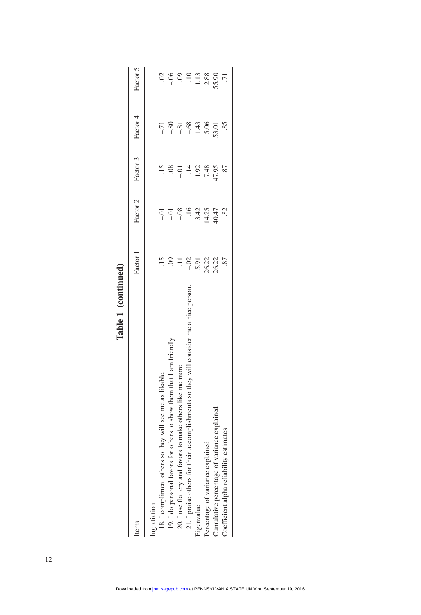| Table 1 (continued)                                                                                                                |          |          |                 |               |                 |
|------------------------------------------------------------------------------------------------------------------------------------|----------|----------|-----------------|---------------|-----------------|
| Items                                                                                                                              | Factor 1 | Factor 2 | Factor 3        | Factor 4      | Factor 5        |
| Ingratiation                                                                                                                       |          |          |                 |               |                 |
| 18. I compliment others so they will see me as likable.                                                                            |          | Ξ        |                 |               |                 |
|                                                                                                                                    |          | $-0$     | $\overline{08}$ | $\frac{8}{5}$ | $-0.06$         |
| 19. I do personal favors for others to show them that I am friendly.<br>20. I use flattery and favors to make others like me more. |          | $-0.8$   | Ξ               | $\frac{5}{1}$ | 60              |
| 21. I praise others for their accomplishments so they will consider me a nice person.                                              | $-0.2$   | .16      | $\overline{14}$ |               | $\overline{10}$ |
| Eigenvalue                                                                                                                         | 5.91     | 3.42     | 1.92            | $-68$<br>1.43 | 1.13            |
| Percentage of variance explained                                                                                                   | 26.22    | 14.25    | 7.48            | 5.06          | 2.88            |
| Cumulative percentage of variance explained                                                                                        | 26.22    | 40.47    | 17.95           | 53.01         | 5.90            |
| Coefficient alpha reliability estimates                                                                                            | 87       | 82       | .87             |               | $\overline{71}$ |
|                                                                                                                                    |          |          |                 |               |                 |

| E  |
|----|
| ď  |
| f. |
|    |
|    |
|    |
| ί  |
|    |
|    |
| ⊣  |
| ı  |
|    |
| ٥  |
|    |
| Ģ  |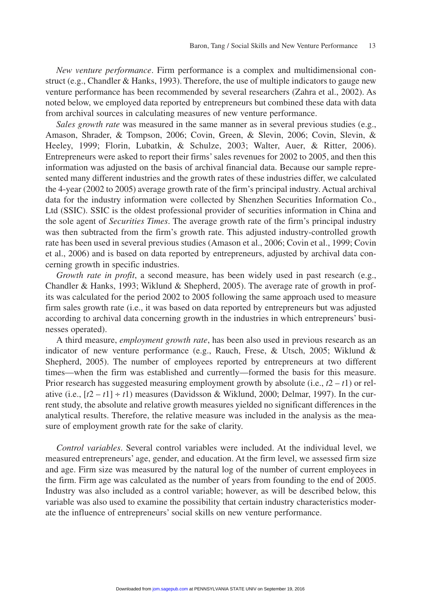*New venture performance*. Firm performance is a complex and multidimensional construct (e.g., Chandler & Hanks, 1993). Therefore, the use of multiple indicators to gauge new venture performance has been recommended by several researchers (Zahra et al., 2002). As noted below, we employed data reported by entrepreneurs but combined these data with data from archival sources in calculating measures of new venture performance.

*Sales growth rate* was measured in the same manner as in several previous studies (e.g., Amason, Shrader, & Tompson, 2006; Covin, Green, & Slevin, 2006; Covin, Slevin, & Heeley, 1999; Florin, Lubatkin, & Schulze, 2003; Walter, Auer, & Ritter, 2006). Entrepreneurs were asked to report their firms' sales revenues for 2002 to 2005, and then this information was adjusted on the basis of archival financial data. Because our sample represented many different industries and the growth rates of these industries differ, we calculated the 4-year (2002 to 2005) average growth rate of the firm's principal industry. Actual archival data for the industry information were collected by Shenzhen Securities Information Co., Ltd (SSIC). SSIC is the oldest professional provider of securities information in China and the sole agent of *Securities Times*. The average growth rate of the firm's principal industry was then subtracted from the firm's growth rate. This adjusted industry-controlled growth rate has been used in several previous studies (Amason et al., 2006; Covin et al., 1999; Covin et al., 2006) and is based on data reported by entrepreneurs, adjusted by archival data concerning growth in specific industries.

*Growth rate in profit*, a second measure, has been widely used in past research (e.g., Chandler & Hanks, 1993; Wiklund & Shepherd, 2005). The average rate of growth in profits was calculated for the period 2002 to 2005 following the same approach used to measure firm sales growth rate (i.e., it was based on data reported by entrepreneurs but was adjusted according to archival data concerning growth in the industries in which entrepreneurs' businesses operated).

A third measure, *employment growth rate*, has been also used in previous research as an indicator of new venture performance (e.g., Rauch, Frese, & Utsch, 2005; Wiklund & Shepherd, 2005). The number of employees reported by entrepreneurs at two different times—when the firm was established and currently—formed the basis for this measure. Prior research has suggested measuring employment growth by absolute (i.e., *t*2 – *t*1) or relative (i.e.,  $[t2 - t1] \div t1$ ) measures (Davidsson & Wiklund, 2000; Delmar, 1997). In the current study, the absolute and relative growth measures yielded no significant differences in the analytical results. Therefore, the relative measure was included in the analysis as the measure of employment growth rate for the sake of clarity.

*Control variables*. Several control variables were included. At the individual level, we measured entrepreneurs' age, gender, and education. At the firm level, we assessed firm size and age. Firm size was measured by the natural log of the number of current employees in the firm. Firm age was calculated as the number of years from founding to the end of 2005. Industry was also included as a control variable; however, as will be described below, this variable was also used to examine the possibility that certain industry characteristics moderate the influence of entrepreneurs' social skills on new venture performance.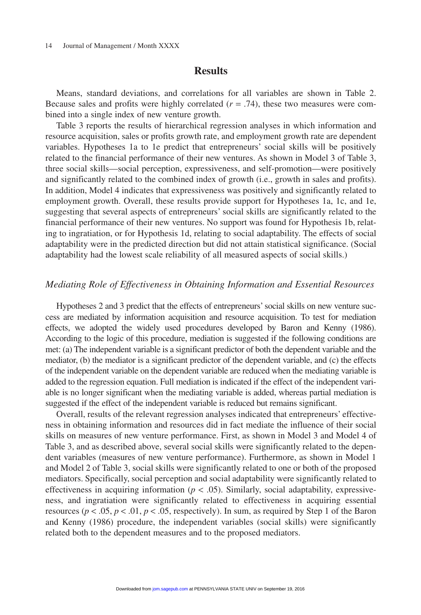# **Results**

Means, standard deviations, and correlations for all variables are shown in Table 2. Because sales and profits were highly correlated  $(r = .74)$ , these two measures were combined into a single index of new venture growth.

Table 3 reports the results of hierarchical regression analyses in which information and resource acquisition, sales or profits growth rate, and employment growth rate are dependent variables. Hypotheses 1a to 1e predict that entrepreneurs' social skills will be positively related to the financial performance of their new ventures. As shown in Model 3 of Table 3, three social skills—social perception, expressiveness, and self-promotion—were positively and significantly related to the combined index of growth (i.e., growth in sales and profits). In addition, Model 4 indicates that expressiveness was positively and significantly related to employment growth. Overall, these results provide support for Hypotheses 1a, 1c, and 1e, suggesting that several aspects of entrepreneurs' social skills are significantly related to the financial performance of their new ventures. No support was found for Hypothesis 1b, relating to ingratiation, or for Hypothesis 1d, relating to social adaptability. The effects of social adaptability were in the predicted direction but did not attain statistical significance. (Social adaptability had the lowest scale reliability of all measured aspects of social skills.)

## *Mediating Role of Effectiveness in Obtaining Information and Essential Resources*

Hypotheses 2 and 3 predict that the effects of entrepreneurs' social skills on new venture success are mediated by information acquisition and resource acquisition. To test for mediation effects, we adopted the widely used procedures developed by Baron and Kenny (1986). According to the logic of this procedure, mediation is suggested if the following conditions are met: (a) The independent variable is a significant predictor of both the dependent variable and the mediator, (b) the mediator is a significant predictor of the dependent variable, and (c) the effects of the independent variable on the dependent variable are reduced when the mediating variable is added to the regression equation. Full mediation is indicated if the effect of the independent variable is no longer significant when the mediating variable is added, whereas partial mediation is suggested if the effect of the independent variable is reduced but remains significant.

Overall, results of the relevant regression analyses indicated that entrepreneurs' effectiveness in obtaining information and resources did in fact mediate the influence of their social skills on measures of new venture performance. First, as shown in Model 3 and Model 4 of Table 3, and as described above, several social skills were significantly related to the dependent variables (measures of new venture performance). Furthermore, as shown in Model 1 and Model 2 of Table 3, social skills were significantly related to one or both of the proposed mediators. Specifically, social perception and social adaptability were significantly related to effectiveness in acquiring information ( $p < .05$ ). Similarly, social adaptability, expressiveness, and ingratiation were significantly related to effectiveness in acquiring essential resources ( $p < .05$ ,  $p < .01$ ,  $p < .05$ , respectively). In sum, as required by Step 1 of the Baron and Kenny (1986) procedure, the independent variables (social skills) were significantly related both to the dependent measures and to the proposed mediators.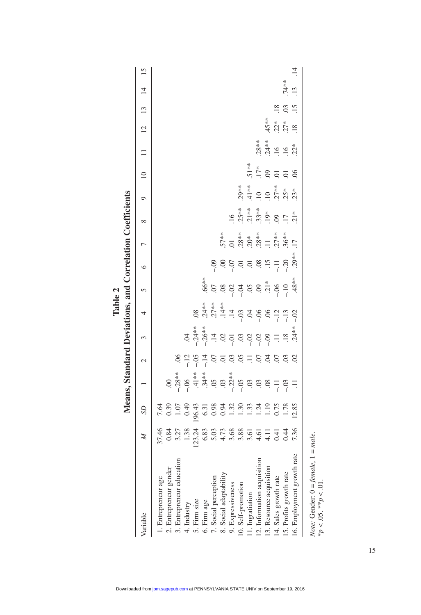|                                                         |                                                                                   |                                   |                                                                                                                                                                                                                                                                                                                       |                   |   | Table 2                                                                                                                                                                                                                                                                                                                                                                                                                                                         |         |                                                                                                                               |                                                          |                                                        |                                                                                                                                                                          |                                                                                                                                                                                                |                                      |                                                |                  |                 |            |
|---------------------------------------------------------|-----------------------------------------------------------------------------------|-----------------------------------|-----------------------------------------------------------------------------------------------------------------------------------------------------------------------------------------------------------------------------------------------------------------------------------------------------------------------|-------------------|---|-----------------------------------------------------------------------------------------------------------------------------------------------------------------------------------------------------------------------------------------------------------------------------------------------------------------------------------------------------------------------------------------------------------------------------------------------------------------|---------|-------------------------------------------------------------------------------------------------------------------------------|----------------------------------------------------------|--------------------------------------------------------|--------------------------------------------------------------------------------------------------------------------------------------------------------------------------|------------------------------------------------------------------------------------------------------------------------------------------------------------------------------------------------|--------------------------------------|------------------------------------------------|------------------|-----------------|------------|
|                                                         |                                                                                   |                                   | Means, Standard Deviations, and Correlation Coefficients                                                                                                                                                                                                                                                              |                   |   |                                                                                                                                                                                                                                                                                                                                                                                                                                                                 |         |                                                                                                                               |                                                          |                                                        |                                                                                                                                                                          |                                                                                                                                                                                                |                                      |                                                |                  |                 |            |
| Variable                                                | $\mathbb{Z}$                                                                      | SD                                |                                                                                                                                                                                                                                                                                                                       | 2                 | 3 |                                                                                                                                                                                                                                                                                                                                                                                                                                                                 | 5       | $\circ$                                                                                                                       |                                                          | ∞                                                      | ⊝                                                                                                                                                                        | $\supseteq$                                                                                                                                                                                    |                                      | $\overline{c}$                                 | 13               | 4               | 15         |
| 1. Entrepreneur age                                     |                                                                                   |                                   |                                                                                                                                                                                                                                                                                                                       |                   |   |                                                                                                                                                                                                                                                                                                                                                                                                                                                                 |         |                                                                                                                               |                                                          |                                                        |                                                                                                                                                                          |                                                                                                                                                                                                |                                      |                                                |                  |                 |            |
|                                                         |                                                                                   |                                   |                                                                                                                                                                                                                                                                                                                       |                   |   |                                                                                                                                                                                                                                                                                                                                                                                                                                                                 |         |                                                                                                                               |                                                          |                                                        |                                                                                                                                                                          |                                                                                                                                                                                                |                                      |                                                |                  |                 |            |
| 2. Entrepreneur gender<br>3. Entrepreneur education     | 5<br>2 3 7 8 7 8 9 9 9 9 9 9 9 0 0 1 1 3 4<br>2 9 7 9 9 9 9 9 9 9 9 9 9 0 1 1 3 4 | $7.39$<br>3.0.1<br>4.0.1<br>5.0.1 | $-38$ $\frac{3}{4}$ $\frac{3}{4}$ $\frac{3}{4}$ $\frac{3}{4}$ $\frac{3}{4}$ $\frac{3}{4}$ $\frac{3}{4}$ $\frac{3}{4}$ $\frac{3}{4}$ $\frac{3}{4}$ $\frac{3}{4}$ $\frac{3}{4}$ $\frac{3}{4}$ $\frac{3}{4}$ $\frac{3}{4}$ $\frac{3}{4}$ $\frac{3}{4}$ $\frac{3}{4}$ $\frac{3}{4}$ $\frac{3}{4}$ $\frac{3}{4}$ $\frac{3$ |                   |   |                                                                                                                                                                                                                                                                                                                                                                                                                                                                 |         |                                                                                                                               |                                                          |                                                        |                                                                                                                                                                          |                                                                                                                                                                                                |                                      |                                                |                  |                 |            |
| 4. Industry                                             |                                                                                   |                                   |                                                                                                                                                                                                                                                                                                                       | 89.28775          |   |                                                                                                                                                                                                                                                                                                                                                                                                                                                                 |         |                                                                                                                               |                                                          |                                                        |                                                                                                                                                                          |                                                                                                                                                                                                |                                      |                                                |                  |                 |            |
| 5. Firm size                                            |                                                                                   |                                   |                                                                                                                                                                                                                                                                                                                       |                   |   |                                                                                                                                                                                                                                                                                                                                                                                                                                                                 |         |                                                                                                                               |                                                          |                                                        |                                                                                                                                                                          |                                                                                                                                                                                                |                                      |                                                |                  |                 |            |
|                                                         |                                                                                   |                                   |                                                                                                                                                                                                                                                                                                                       |                   |   |                                                                                                                                                                                                                                                                                                                                                                                                                                                                 |         |                                                                                                                               |                                                          |                                                        |                                                                                                                                                                          |                                                                                                                                                                                                |                                      |                                                |                  |                 |            |
| 6. Firm age<br>7. Social perception                     |                                                                                   |                                   |                                                                                                                                                                                                                                                                                                                       |                   |   |                                                                                                                                                                                                                                                                                                                                                                                                                                                                 |         |                                                                                                                               |                                                          |                                                        |                                                                                                                                                                          |                                                                                                                                                                                                |                                      |                                                |                  |                 |            |
| 8. Social adaptability                                  |                                                                                   |                                   |                                                                                                                                                                                                                                                                                                                       |                   |   |                                                                                                                                                                                                                                                                                                                                                                                                                                                                 |         |                                                                                                                               |                                                          |                                                        |                                                                                                                                                                          |                                                                                                                                                                                                |                                      |                                                |                  |                 |            |
|                                                         |                                                                                   |                                   |                                                                                                                                                                                                                                                                                                                       |                   |   |                                                                                                                                                                                                                                                                                                                                                                                                                                                                 |         |                                                                                                                               |                                                          |                                                        |                                                                                                                                                                          |                                                                                                                                                                                                |                                      |                                                |                  |                 |            |
| 9. Expressiveness<br>10. Self-promotion                 |                                                                                   |                                   |                                                                                                                                                                                                                                                                                                                       | 5 8 9 5 5 5 5 8 8 |   | $\begin{array}{c}\n 8 \\  8 \\  3 \\  4 \\  5 \\  6\n \end{array}\n \begin{array}{c}\n 3 \\  4 \\  5 \\  6 \\  7\n \end{array}\n \begin{array}{c}\n 3 \\  4 \\  5 \\  7\n \end{array}\n \begin{array}{c}\n 3 \\  5 \\  6 \\  7\n \end{array}\n \begin{array}{c}\n 3 \\  5 \\  7\n \end{array}\n \begin{array}{c}\n 3 \\  5 \\  7\n \end{array}\n \begin{array}{c}\n 3 \\  5 \\  7\n \end{array}\n \begin{array}{c}\n 3 \\  5 \\  7\n \end{array}\n \end{array}$ |         | $\frac{3}{5}$ $\frac{3}{5}$ $\frac{5}{5}$ $\frac{5}{5}$ $\frac{3}{5}$ $\frac{3}{5}$ $\frac{3}{5}$ $\frac{3}{5}$ $\frac{3}{5}$ | $57**$<br>$38**$<br>$38**$<br>$77**$<br>$77**$<br>$36**$ | $16$<br>$25**$<br>$21**$<br>$21**$<br>$21**$<br>$21**$ |                                                                                                                                                                          |                                                                                                                                                                                                |                                      |                                                |                  |                 |            |
| 11. Ingratiation                                        |                                                                                   |                                   |                                                                                                                                                                                                                                                                                                                       |                   |   |                                                                                                                                                                                                                                                                                                                                                                                                                                                                 |         |                                                                                                                               |                                                          |                                                        |                                                                                                                                                                          |                                                                                                                                                                                                |                                      |                                                |                  |                 |            |
|                                                         |                                                                                   |                                   |                                                                                                                                                                                                                                                                                                                       |                   |   |                                                                                                                                                                                                                                                                                                                                                                                                                                                                 |         |                                                                                                                               |                                                          |                                                        |                                                                                                                                                                          |                                                                                                                                                                                                |                                      |                                                |                  |                 |            |
| 12. Information acquisition<br>13. Resource acquisition |                                                                                   |                                   |                                                                                                                                                                                                                                                                                                                       |                   |   |                                                                                                                                                                                                                                                                                                                                                                                                                                                                 |         |                                                                                                                               |                                                          |                                                        | $\begin{array}{cccc}\n & * & * & * & * & * \\  & 0 & 0 & 0 & 0 & 0 & 0 \\  & 0 & 0 & 0 & 0 & 0 & 0 \\  & 0 & 0 & 0 & 0 & 0 & 0 \\  & 0 & 0 & 0 & 0 & 0 & 0\n\end{array}$ | $\begin{array}{c} \stackrel{*}{\pi} , \stackrel{*}{\pi} , \stackrel{*}{\pi} , \stackrel{*}{\pi} , \stackrel{*}{\pi} , \stackrel{*}{\pi} , \stackrel{*}{\pi} , \stackrel{*}{\pi} . \end{array}$ | $28$<br>$34$<br>$49$<br>$52$<br>$52$ |                                                |                  |                 |            |
| 14. Sales growth rate                                   |                                                                                   |                                   |                                                                                                                                                                                                                                                                                                                       |                   |   |                                                                                                                                                                                                                                                                                                                                                                                                                                                                 |         |                                                                                                                               |                                                          |                                                        |                                                                                                                                                                          |                                                                                                                                                                                                |                                      | $45**$<br>$22**$<br>$27**$<br>$21**$<br>$21**$ | $\overline{.18}$ |                 |            |
| 15. Profits growth rate                                 |                                                                                   |                                   | $-0.3$                                                                                                                                                                                                                                                                                                                |                   |   |                                                                                                                                                                                                                                                                                                                                                                                                                                                                 |         |                                                                                                                               |                                                          |                                                        |                                                                                                                                                                          |                                                                                                                                                                                                |                                      |                                                | $\frac{3}{2}$    | $74**$          |            |
| 16. Employment growth rate                              | 7.36                                                                              | 12.85                             | $\Xi$                                                                                                                                                                                                                                                                                                                 |                   |   |                                                                                                                                                                                                                                                                                                                                                                                                                                                                 | $.48**$ | $.29**$                                                                                                                       | $\overline{17}$                                          |                                                        |                                                                                                                                                                          |                                                                                                                                                                                                |                                      |                                                |                  | $\overline{13}$ | $\ddot{=}$ |
|                                                         |                                                                                   |                                   |                                                                                                                                                                                                                                                                                                                       |                   |   |                                                                                                                                                                                                                                                                                                                                                                                                                                                                 |         |                                                                                                                               |                                                          |                                                        |                                                                                                                                                                          |                                                                                                                                                                                                |                                      |                                                |                  |                 |            |

*Note:* Gender:  $0 = female$ ,  $1 = male$ .<br>\* $p < .05$ . \*\* $p < .01$ . *Note:* Gender: 0 = *female*, 1 = *male*.  $*_{p}$  < .05.  $*_{p}$  < .01.

Downloaded from [jom.sagepub.com](http://jom.sagepub.com/) at PENNSYLVANIA STATE UNIV on September 19, 2016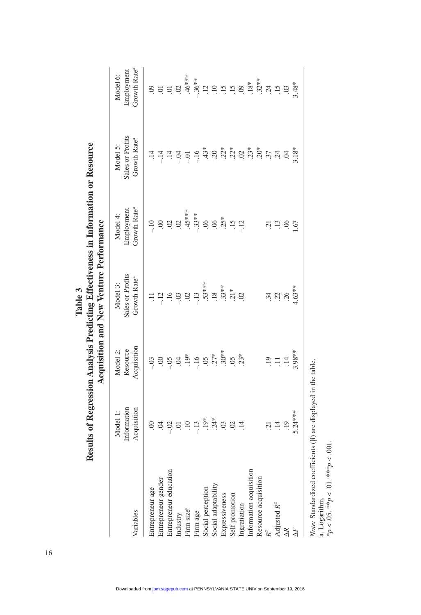|                                                                                                                                                    |                                                                                                                     |                                                                                                                                                                                                                                                                                                                        | Results of Regression Analysis Predicting Effectiveness in Information or Resource<br><b>Acquisition and New Venture Performance</b> |                          |                                                                                                                                                                                                                                                                                                                                              |                          |
|----------------------------------------------------------------------------------------------------------------------------------------------------|---------------------------------------------------------------------------------------------------------------------|------------------------------------------------------------------------------------------------------------------------------------------------------------------------------------------------------------------------------------------------------------------------------------------------------------------------|--------------------------------------------------------------------------------------------------------------------------------------|--------------------------|----------------------------------------------------------------------------------------------------------------------------------------------------------------------------------------------------------------------------------------------------------------------------------------------------------------------------------------------|--------------------------|
|                                                                                                                                                    | Information<br>Model 1:                                                                                             | Resource<br>Model 2:                                                                                                                                                                                                                                                                                                   | Sales or Profits<br>Model 3:                                                                                                         | Employment<br>Model 4:   | Sales or Profits<br>Model 5:                                                                                                                                                                                                                                                                                                                 | Employment<br>Model 6:   |
| Variables                                                                                                                                          | Acquisition                                                                                                         | Acquisition                                                                                                                                                                                                                                                                                                            | Growth Rate <sup>a</sup>                                                                                                             | Growth Rate <sup>a</sup> | Growth Rate <sup>a</sup>                                                                                                                                                                                                                                                                                                                     | Growth Rate <sup>a</sup> |
| Entrepreneur age                                                                                                                                   | 00                                                                                                                  |                                                                                                                                                                                                                                                                                                                        |                                                                                                                                      |                          |                                                                                                                                                                                                                                                                                                                                              | $\ddot{\circ}$           |
| Entrepreneur gender                                                                                                                                | 307597                                                                                                              |                                                                                                                                                                                                                                                                                                                        |                                                                                                                                      |                          |                                                                                                                                                                                                                                                                                                                                              | $\Xi$ $\Xi$ $\Xi$        |
| Entrepreneur education                                                                                                                             |                                                                                                                     |                                                                                                                                                                                                                                                                                                                        |                                                                                                                                      |                          |                                                                                                                                                                                                                                                                                                                                              |                          |
| Industry                                                                                                                                           |                                                                                                                     |                                                                                                                                                                                                                                                                                                                        |                                                                                                                                      |                          |                                                                                                                                                                                                                                                                                                                                              |                          |
| Firm size <sup>a</sup>                                                                                                                             |                                                                                                                     |                                                                                                                                                                                                                                                                                                                        |                                                                                                                                      |                          |                                                                                                                                                                                                                                                                                                                                              |                          |
| Firm age                                                                                                                                           |                                                                                                                     |                                                                                                                                                                                                                                                                                                                        |                                                                                                                                      |                          | $-14$<br>$-34$<br>$-34$<br>$-16$                                                                                                                                                                                                                                                                                                             | $-36***$<br>-.36**       |
| Social perception                                                                                                                                  |                                                                                                                     |                                                                                                                                                                                                                                                                                                                        |                                                                                                                                      |                          |                                                                                                                                                                                                                                                                                                                                              |                          |
| Social adaptability                                                                                                                                | $\stackrel{*}{\leq} \stackrel{*}{\leq} \stackrel{3}{\leq} \stackrel{3}{\leq} \stackrel{1}{\leq} \stackrel{4}{\leq}$ | $-1$ $\frac{3}{5}$ $\frac{3}{5}$ $\frac{4}{5}$ $\frac{4}{5}$ $\frac{5}{5}$ $\frac{4}{5}$ $\frac{5}{5}$ $\frac{5}{5}$ $\frac{3}{5}$ $\frac{3}{5}$ $\frac{3}{5}$ $\frac{3}{5}$ $\frac{3}{5}$ $\frac{3}{5}$ $\frac{3}{5}$ $\frac{3}{5}$ $\frac{3}{5}$ $\frac{3}{5}$ $\frac{3}{5}$ $\frac{3}{5}$ $\frac{3}{5}$ $\frac{3}{$ | $-12$<br>$-16$<br>$-03$<br>$-03$<br>$-13$<br>$-33$<br>$-33$<br>$-18$<br>$-19$                                                        |                          | $\ddot{4} \ddot{3} \ddot{6} \ddot{7} \ddot{8} \ddot{8} \ddot{9} \ddot{1} \ddot{1} \ddot{2} \ddot{1} \ddot{3} \ddot{1} \ddot{1} \ddot{1} \ddot{1} \ddot{1} \ddot{1} \ddot{1} \ddot{1} \ddot{1} \ddot{1} \ddot{1} \ddot{1} \ddot{1} \ddot{1} \ddot{1} \ddot{1} \ddot{1} \ddot{1} \ddot{1} \ddot{1} \ddot{1} \ddot{1} \ddot{1} \ddot{1} \ddot{$ |                          |
| Expressiveness                                                                                                                                     |                                                                                                                     |                                                                                                                                                                                                                                                                                                                        |                                                                                                                                      |                          |                                                                                                                                                                                                                                                                                                                                              |                          |
| Self-promotion                                                                                                                                     |                                                                                                                     |                                                                                                                                                                                                                                                                                                                        | $.33**$<br>$.21*$<br>$.02$                                                                                                           |                          |                                                                                                                                                                                                                                                                                                                                              |                          |
| Ingratiation                                                                                                                                       |                                                                                                                     |                                                                                                                                                                                                                                                                                                                        |                                                                                                                                      |                          |                                                                                                                                                                                                                                                                                                                                              |                          |
| Information acquisition                                                                                                                            |                                                                                                                     |                                                                                                                                                                                                                                                                                                                        |                                                                                                                                      |                          |                                                                                                                                                                                                                                                                                                                                              |                          |
| Resource acquisition                                                                                                                               |                                                                                                                     |                                                                                                                                                                                                                                                                                                                        |                                                                                                                                      |                          |                                                                                                                                                                                                                                                                                                                                              |                          |
|                                                                                                                                                    |                                                                                                                     |                                                                                                                                                                                                                                                                                                                        |                                                                                                                                      |                          |                                                                                                                                                                                                                                                                                                                                              |                          |
| Adjusted $R^2$<br>$\Delta R$                                                                                                                       | $\frac{21}{14}$                                                                                                     | $\Xi \equiv \Xi$                                                                                                                                                                                                                                                                                                       | $\frac{34}{12}$ 3.4 $\frac{3}{4}$ 4.63**                                                                                             | $\frac{21}{13}$          |                                                                                                                                                                                                                                                                                                                                              |                          |
|                                                                                                                                                    | $\overline{0}$                                                                                                      |                                                                                                                                                                                                                                                                                                                        |                                                                                                                                      | $90.$                    | $\ddot{5}$                                                                                                                                                                                                                                                                                                                                   | $03$                     |
|                                                                                                                                                    | 5.24 ***                                                                                                            | $3.98***$                                                                                                                                                                                                                                                                                                              |                                                                                                                                      | 1.67                     | $3.18*$                                                                                                                                                                                                                                                                                                                                      | $3.48*$                  |
| <i>Note:</i> Standardized coefficients ( $\beta$ ) are displayed in the table.<br>a. Logarithm.<br>$\frac{1}{4} p < 0.05$ . **p < .01. ***p < .001 |                                                                                                                     |                                                                                                                                                                                                                                                                                                                        |                                                                                                                                      |                          |                                                                                                                                                                                                                                                                                                                                              |                          |

**Results of Regression Analysis Predicting Effectiveness in Information or Resource**  $\tilde{\mathbf{r}}$ ŧ ي<br>په Ė J ŧ **Table 3** Ř é J, ż ⊸ ÷,  $\mathbf{e}$ 

16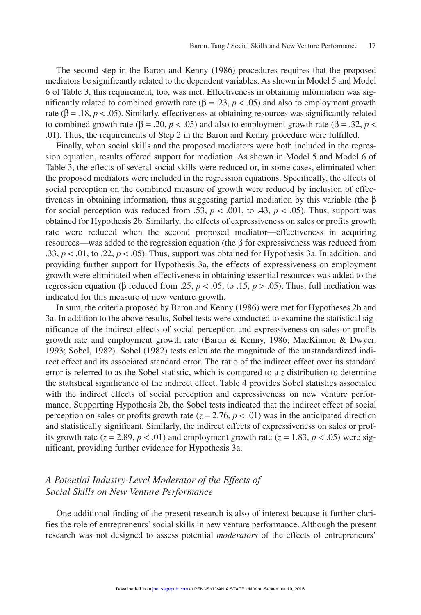The second step in the Baron and Kenny (1986) procedures requires that the proposed mediators be significantly related to the dependent variables. As shown in Model 5 and Model 6 of Table 3, this requirement, too, was met. Effectiveness in obtaining information was significantly related to combined growth rate (β = .23,  $p < .05$ ) and also to employment growth rate ( $\beta = 0.18$ ,  $p < 0.05$ ). Similarly, effectiveness at obtaining resources was significantly related to combined growth rate (β = .20, *p* < .05) and also to employment growth rate (β = .32, *p* < .01). Thus, the requirements of Step 2 in the Baron and Kenny procedure were fulfilled.

Finally, when social skills and the proposed mediators were both included in the regression equation, results offered support for mediation. As shown in Model 5 and Model 6 of Table 3, the effects of several social skills were reduced or, in some cases, eliminated when the proposed mediators were included in the regression equations. Specifically, the effects of social perception on the combined measure of growth were reduced by inclusion of effectiveness in obtaining information, thus suggesting partial mediation by this variable (the β for social perception was reduced from .53,  $p < .001$ , to .43,  $p < .05$ ). Thus, support was obtained for Hypothesis 2b. Similarly, the effects of expressiveness on sales or profits growth rate were reduced when the second proposed mediator—effectiveness in acquiring resources—was added to the regression equation (the β for expressiveness was reduced from .33,  $p < 0.01$ , to .22,  $p < 0.05$ ). Thus, support was obtained for Hypothesis 3a. In addition, and providing further support for Hypothesis 3a, the effects of expressiveness on employment growth were eliminated when effectiveness in obtaining essential resources was added to the regression equation (β reduced from .25, *p* < .05, to .15, *p* > .05). Thus, full mediation was indicated for this measure of new venture growth.

In sum, the criteria proposed by Baron and Kenny (1986) were met for Hypotheses 2b and 3a. In addition to the above results, Sobel tests were conducted to examine the statistical significance of the indirect effects of social perception and expressiveness on sales or profits growth rate and employment growth rate (Baron & Kenny, 1986; MacKinnon & Dwyer, 1993; Sobel, 1982). Sobel (1982) tests calculate the magnitude of the unstandardized indirect effect and its associated standard error. The ratio of the indirect effect over its standard error is referred to as the Sobel statistic, which is compared to a *z* distribution to determine the statistical significance of the indirect effect. Table 4 provides Sobel statistics associated with the indirect effects of social perception and expressiveness on new venture performance. Supporting Hypothesis 2b, the Sobel tests indicated that the indirect effect of social perception on sales or profits growth rate ( $z = 2.76$ ,  $p < .01$ ) was in the anticipated direction and statistically significant. Similarly, the indirect effects of expressiveness on sales or profits growth rate ( $z = 2.89$ ,  $p < .01$ ) and employment growth rate ( $z = 1.83$ ,  $p < .05$ ) were significant, providing further evidence for Hypothesis 3a.

## *A Potential Industry-Level Moderator of the Effects of Social Skills on New Venture Performance*

One additional finding of the present research is also of interest because it further clarifies the role of entrepreneurs' social skills in new venture performance. Although the present research was not designed to assess potential *moderators* of the effects of entrepreneurs'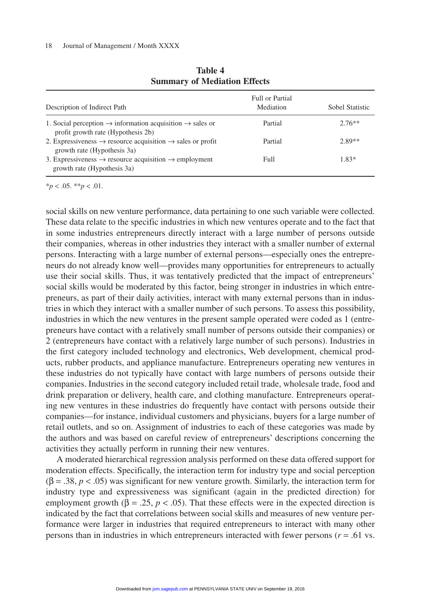| Description of Indirect Path                                                                                            | Full or Partial<br>Mediation | Sobel Statistic |
|-------------------------------------------------------------------------------------------------------------------------|------------------------------|-----------------|
| 1. Social perception $\rightarrow$ information acquisition $\rightarrow$ sales or<br>profit growth rate (Hypothesis 2b) | Partial                      | $2.76**$        |
| 2. Expressiveness $\rightarrow$ resource acquisition $\rightarrow$ sales or profit<br>growth rate (Hypothesis 3a)       | Partial                      | $2.89**$        |
| 3. Expressiveness $\rightarrow$ resource acquisition $\rightarrow$ employment<br>growth rate (Hypothesis 3a)            | Full                         | 1.83*           |

**Table 4 Summary of Mediation Effects**

 $**p* < .05.$   $**p* < .01.$ 

social skills on new venture performance, data pertaining to one such variable were collected. These data relate to the specific industries in which new ventures operate and to the fact that in some industries entrepreneurs directly interact with a large number of persons outside their companies, whereas in other industries they interact with a smaller number of external persons. Interacting with a large number of external persons—especially ones the entrepreneurs do not already know well—provides many opportunities for entrepreneurs to actually use their social skills. Thus, it was tentatively predicted that the impact of entrepreneurs' social skills would be moderated by this factor, being stronger in industries in which entrepreneurs, as part of their daily activities, interact with many external persons than in industries in which they interact with a smaller number of such persons. To assess this possibility, industries in which the new ventures in the present sample operated were coded as 1 (entrepreneurs have contact with a relatively small number of persons outside their companies) or 2 (entrepreneurs have contact with a relatively large number of such persons). Industries in the first category included technology and electronics, Web development, chemical products, rubber products, and appliance manufacture. Entrepreneurs operating new ventures in these industries do not typically have contact with large numbers of persons outside their companies. Industries in the second category included retail trade, wholesale trade, food and drink preparation or delivery, health care, and clothing manufacture. Entrepreneurs operating new ventures in these industries do frequently have contact with persons outside their companies—for instance, individual customers and physicians, buyers for a large number of retail outlets, and so on. Assignment of industries to each of these categories was made by the authors and was based on careful review of entrepreneurs' descriptions concerning the activities they actually perform in running their new ventures.

A moderated hierarchical regression analysis performed on these data offered support for moderation effects. Specifically, the interaction term for industry type and social perception  $(\beta = .38, p < .05)$  was significant for new venture growth. Similarly, the interaction term for industry type and expressiveness was significant (again in the predicted direction) for employment growth ( $\beta = .25$ ,  $p < .05$ ). That these effects were in the expected direction is indicated by the fact that correlations between social skills and measures of new venture performance were larger in industries that required entrepreneurs to interact with many other persons than in industries in which entrepreneurs interacted with fewer persons (*r* = .61 vs.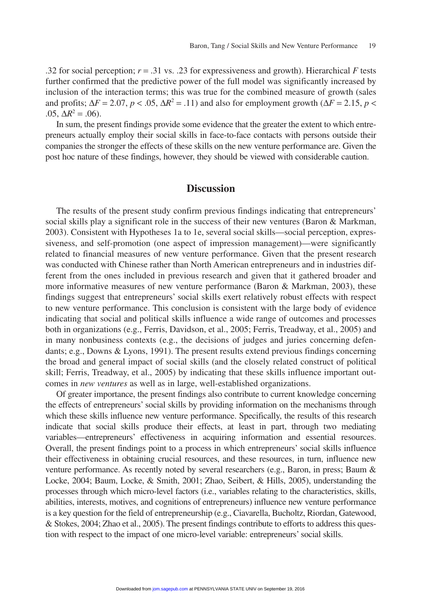.32 for social perception;  $r = .31$  vs. .23 for expressiveness and growth). Hierarchical *F* tests further confirmed that the predictive power of the full model was significantly increased by inclusion of the interaction terms; this was true for the combined measure of growth (sales and profits;  $\Delta F = 2.07$ ,  $p < .05$ ,  $\Delta R^2 = .11$ ) and also for employment growth ( $\Delta F = 2.15$ ,  $p <$ .05,  $\Delta R^2 = .06$ ).

In sum, the present findings provide some evidence that the greater the extent to which entrepreneurs actually employ their social skills in face-to-face contacts with persons outside their companies the stronger the effects of these skills on the new venture performance are. Given the post hoc nature of these findings, however, they should be viewed with considerable caution.

## **Discussion**

The results of the present study confirm previous findings indicating that entrepreneurs' social skills play a significant role in the success of their new ventures (Baron & Markman, 2003). Consistent with Hypotheses 1a to 1e, several social skills—social perception, expressiveness, and self-promotion (one aspect of impression management)—were significantly related to financial measures of new venture performance. Given that the present research was conducted with Chinese rather than North American entrepreneurs and in industries different from the ones included in previous research and given that it gathered broader and more informative measures of new venture performance (Baron & Markman, 2003), these findings suggest that entrepreneurs' social skills exert relatively robust effects with respect to new venture performance. This conclusion is consistent with the large body of evidence indicating that social and political skills influence a wide range of outcomes and processes both in organizations (e.g., Ferris, Davidson, et al., 2005; Ferris, Treadway, et al., 2005) and in many nonbusiness contexts (e.g., the decisions of judges and juries concerning defendants; e.g., Downs & Lyons, 1991). The present results extend previous findings concerning the broad and general impact of social skills (and the closely related construct of political skill; Ferris, Treadway, et al., 2005) by indicating that these skills influence important outcomes in *new ventures* as well as in large, well-established organizations.

Of greater importance, the present findings also contribute to current knowledge concerning the effects of entrepreneurs' social skills by providing information on the mechanisms through which these skills influence new venture performance. Specifically, the results of this research indicate that social skills produce their effects, at least in part, through two mediating variables—entrepreneurs' effectiveness in acquiring information and essential resources. Overall, the present findings point to a process in which entrepreneurs' social skills influence their effectiveness in obtaining crucial resources, and these resources, in turn, influence new venture performance. As recently noted by several researchers (e.g., Baron, in press; Baum & Locke, 2004; Baum, Locke, & Smith, 2001; Zhao, Seibert, & Hills, 2005), understanding the processes through which micro-level factors (i.e., variables relating to the characteristics, skills, abilities, interests, motives, and cognitions of entrepreneurs) influence new venture performance is a key question for the field of entrepreneurship (e.g., Ciavarella, Bucholtz, Riordan, Gatewood, & Stokes, 2004; Zhao et al., 2005). The present findings contribute to efforts to address this question with respect to the impact of one micro-level variable: entrepreneurs' social skills.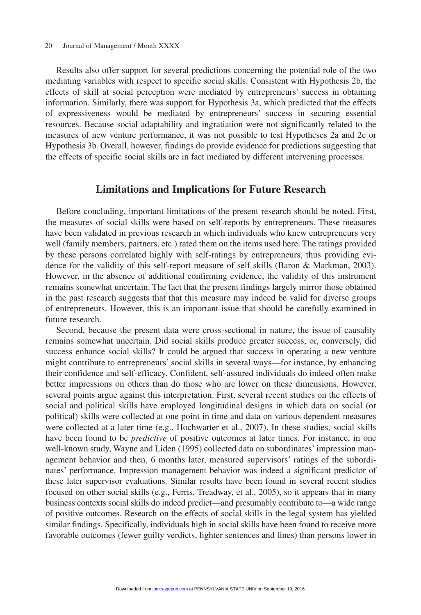Results also offer support for several predictions concerning the potential role of the two mediating variables with respect to specific social skills. Consistent with Hypothesis 2b, the effects of skill at social perception were mediated by entrepreneurs' success in obtaining information. Similarly, there was support for Hypothesis 3a, which predicted that the effects of expressiveness would be mediated by entrepreneurs' success in securing essential resources. Because social adaptability and ingratiation were not significantly related to the measures of new venture performance, it was not possible to test Hypotheses 2a and 2c or Hypothesis 3b. Overall, however, findings do provide evidence for predictions suggesting that the effects of specific social skills are in fact mediated by different intervening processes.

## **Limitations and Implications for Future Research**

Before concluding, important limitations of the present research should be noted. First, the measures of social skills were based on self-reports by entrepreneurs. These measures have been validated in previous research in which individuals who knew entrepreneurs very well (family members, partners, etc.) rated them on the items used here. The ratings provided by these persons correlated highly with self-ratings by entrepreneurs, thus providing evidence for the validity of this self-report measure of self skills (Baron & Markman, 2003). However, in the absence of additional confirming evidence, the validity of this instrument remains somewhat uncertain. The fact that the present findings largely mirror those obtained in the past research suggests that that this measure may indeed be valid for diverse groups of entrepreneurs. However, this is an important issue that should be carefully examined in future research.

Second, because the present data were cross-sectional in nature, the issue of causality remains somewhat uncertain. Did social skills produce greater success, or, conversely, did success enhance social skills? It could be argued that success in operating a new venture might contribute to entrepreneurs' social skills in several ways—for instance, by enhancing their confidence and self-efficacy. Confident, self-assured individuals do indeed often make better impressions on others than do those who are lower on these dimensions. However, several points argue against this interpretation. First, several recent studies on the effects of social and political skills have employed longitudinal designs in which data on social (or political) skills were collected at one point in time and data on various dependent measures were collected at a later time (e.g., Hochwarter et al., 2007). In these studies, social skills have been found to be *predictive* of positive outcomes at later times. For instance, in one well-known study, Wayne and Liden (1995) collected data on subordinates' impression management behavior and then, 6 months later, measured supervisors' ratings of the subordinates' performance. Impression management behavior was indeed a significant predictor of these later supervisor evaluations. Similar results have been found in several recent studies focused on other social skills (e.g., Ferris, Treadway, et al., 2005), so it appears that in many business contexts social skills do indeed predict—and presumably contribute to—a wide range of positive outcomes. Research on the effects of social skills in the legal system has yielded similar findings. Specifically, individuals high in social skills have been found to receive more favorable outcomes (fewer guilty verdicts, lighter sentences and fines) than persons lower in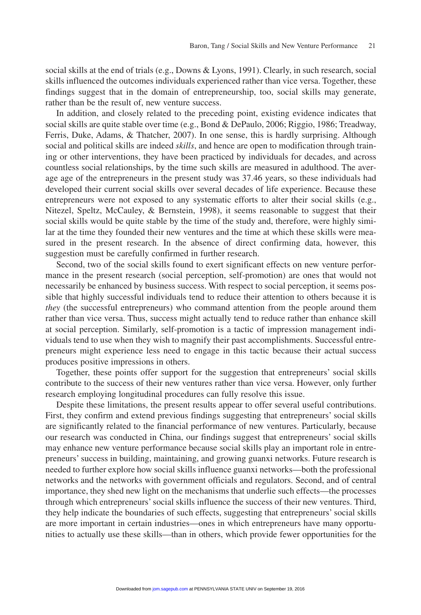social skills at the end of trials (e.g., Downs & Lyons, 1991). Clearly, in such research, social skills influenced the outcomes individuals experienced rather than vice versa. Together, these findings suggest that in the domain of entrepreneurship, too, social skills may generate, rather than be the result of, new venture success.

In addition, and closely related to the preceding point, existing evidence indicates that social skills are quite stable over time (e.g., Bond & DePaulo, 2006; Riggio, 1986; Treadway, Ferris, Duke, Adams, & Thatcher, 2007). In one sense, this is hardly surprising. Although social and political skills are indeed *skills*, and hence are open to modification through training or other interventions, they have been practiced by individuals for decades, and across countless social relationships, by the time such skills are measured in adulthood. The average age of the entrepreneurs in the present study was 37.46 years, so these individuals had developed their current social skills over several decades of life experience. Because these entrepreneurs were not exposed to any systematic efforts to alter their social skills (e.g., Nitezel, Speltz, McCauley, & Bernstein, 1998), it seems reasonable to suggest that their social skills would be quite stable by the time of the study and, therefore, were highly similar at the time they founded their new ventures and the time at which these skills were measured in the present research. In the absence of direct confirming data, however, this suggestion must be carefully confirmed in further research.

Second, two of the social skills found to exert significant effects on new venture performance in the present research (social perception, self-promotion) are ones that would not necessarily be enhanced by business success. With respect to social perception, it seems possible that highly successful individuals tend to reduce their attention to others because it is *they* (the successful entrepreneurs) who command attention from the people around them rather than vice versa. Thus, success might actually tend to reduce rather than enhance skill at social perception. Similarly, self-promotion is a tactic of impression management individuals tend to use when they wish to magnify their past accomplishments. Successful entrepreneurs might experience less need to engage in this tactic because their actual success produces positive impressions in others.

Together, these points offer support for the suggestion that entrepreneurs' social skills contribute to the success of their new ventures rather than vice versa. However, only further research employing longitudinal procedures can fully resolve this issue.

Despite these limitations, the present results appear to offer several useful contributions. First, they confirm and extend previous findings suggesting that entrepreneurs' social skills are significantly related to the financial performance of new ventures. Particularly, because our research was conducted in China, our findings suggest that entrepreneurs' social skills may enhance new venture performance because social skills play an important role in entrepreneurs' success in building, maintaining, and growing guanxi networks. Future research is needed to further explore how social skills influence guanxi networks—both the professional networks and the networks with government officials and regulators. Second, and of central importance, they shed new light on the mechanisms that underlie such effects—the processes through which entrepreneurs' social skills influence the success of their new ventures. Third, they help indicate the boundaries of such effects, suggesting that entrepreneurs' social skills are more important in certain industries—ones in which entrepreneurs have many opportunities to actually use these skills—than in others, which provide fewer opportunities for the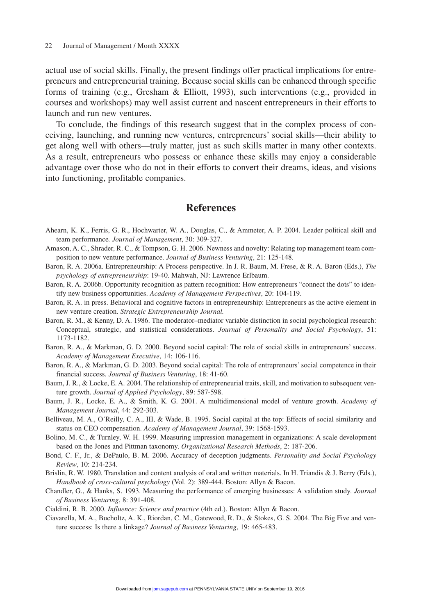actual use of social skills. Finally, the present findings offer practical implications for entrepreneurs and entrepreneurial training. Because social skills can be enhanced through specific forms of training (e.g., Gresham & Elliott, 1993), such interventions (e.g., provided in courses and workshops) may well assist current and nascent entrepreneurs in their efforts to launch and run new ventures.

To conclude, the findings of this research suggest that in the complex process of conceiving, launching, and running new ventures, entrepreneurs' social skills—their ability to get along well with others—truly matter, just as such skills matter in many other contexts. As a result, entrepreneurs who possess or enhance these skills may enjoy a considerable advantage over those who do not in their efforts to convert their dreams, ideas, and visions into functioning, profitable companies.

# **References**

- Ahearn, K. K., Ferris, G. R., Hochwarter, W. A., Douglas, C., & Ammeter, A. P. 2004. Leader political skill and team performance*. Journal of Management*, 30: 309-327.
- Amason, A. C., Shrader, R. C., & Tompson, G. H. 2006. Newness and novelty: Relating top management team composition to new venture performance. *Journal of Business Venturing*, 21: 125-148.
- Baron, R. A. 2006a. Entrepreneurship: A Process perspective. In J. R. Baum, M. Frese, & R. A. Baron (Eds.), *The psychology of entrepreneurship*: 19-40. Mahwah, NJ: Lawrence Erlbaum.
- Baron, R. A. 2006b. Opportunity recognition as pattern recognition: How entrepreneurs "connect the dots" to identify new business opportunities. *Academy of Management Perspectives*, 20: 104-119.
- Baron, R. A. in press. Behavioral and cognitive factors in entrepreneurship: Entrepreneurs as the active element in new venture creation. *Strategic Entrepreneurship Journal.*
- Baron, R. M., & Kenny, D. A. 1986. The moderator–mediator variable distinction in social psychological research: Conceptual, strategic, and statistical considerations. *Journal of Personality and Social Psychology*, 51: 1173-1182.
- Baron, R. A., & Markman, G. D. 2000. Beyond social capital: The role of social skills in entrepreneurs' success. *Academy of Management Executive*, 14: 106-116.
- Baron, R. A., & Markman, G. D. 2003. Beyond social capital: The role of entrepreneurs' social competence in their financial success. *Journal of Business Venturing*, 18: 41-60.
- Baum, J. R., & Locke, E. A. 2004. The relationship of entrepreneurial traits, skill, and motivation to subsequent venture growth. *Journal of Applied Psychology*, 89: 587-598.
- Baum, J. R., Locke, E. A., & Smith, K. G. 2001. A multidimensional model of venture growth. *Academy of Management Journal*, 44: 292-303.
- Belliveau, M. A., O'Reilly, C. A., III, & Wade, B. 1995. Social capital at the top: Effects of social similarity and status on CEO compensation. *Academy of Management Journal*, 39: 1568-1593.
- Bolino, M. C., & Turnley, W. H. 1999. Measuring impression management in organizations: A scale development based on the Jones and Pittman taxonomy. *Organizational Research Methods*, 2: 187-206.
- Bond, C. F., Jr., & DePaulo, B. M. 2006. Accuracy of deception judgments. *Personality and Social Psychology Review*, 10: 214-234.
- Brislin, R. W. 1980. Translation and content analysis of oral and written materials. In H. Triandis & J. Berry (Eds.), *Handbook of cross-cultural psychology* (Vol. 2): 389-444. Boston: Allyn & Bacon.
- Chandler, G., & Hanks, S. 1993. Measuring the performance of emerging businesses: A validation study. *Journal of Business Venturing*, 8: 391-408.
- Cialdini, R. B. 2000. *Influence: Science and practice* (4th ed.). Boston: Allyn & Bacon.
- Ciavarella, M. A., Bucholtz, A. K., Riordan, C. M., Gatewood, R. D., & Stokes, G. S. 2004. The Big Five and venture success: Is there a linkage? *Journal of Business Venturing*, 19: 465-483.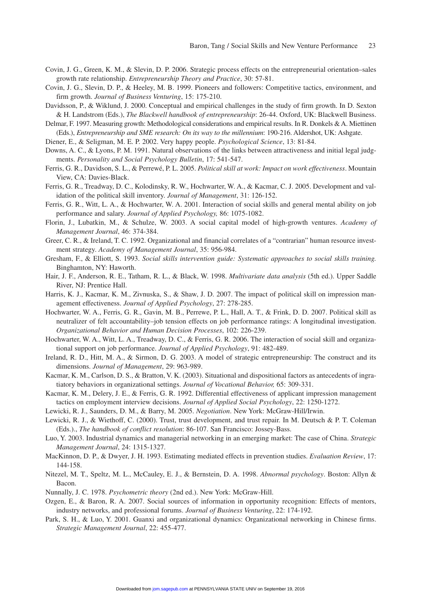- Covin, J. G., Green, K. M., & Slevin, D. P. 2006. Strategic process effects on the entrepreneurial orientation–sales growth rate relationship. *Entrepreneurship Theory and Practice*, 30: 57-81.
- Covin, J. G., Slevin, D. P., & Heeley, M. B. 1999. Pioneers and followers: Competitive tactics, environment, and firm growth. *Journal of Business Venturing*, 15: 175-210.
- Davidsson, P., & Wiklund, J. 2000. Conceptual and empirical challenges in the study of firm growth. In D. Sexton & H. Landstrom (Eds.), *The Blackwell handbook of entrepreneurship*: 26-44. Oxford, UK: Blackwell Business.
- Delmar, F. 1997. Measuring growth: Methodological considerations and empirical results. In R. Donkels & A. Miettinen (Eds.), *Entrepreneurship and SME research: On its way to the millennium*: 190-216. Aldershot, UK: Ashgate.
- Diener, E., & Seligman, M. E. P. 2002. Very happy people. *Psychological Science*, 13: 81-84.
- Downs, A. C., & Lyons, P. M. 1991. Natural observations of the links between attractiveness and initial legal judgments. *Personality and Social Psychology Bulletin*, 17: 541-547.
- Ferris, G. R., Davidson, S. L., & Perrewé, P. L. 2005. *Political skill at work: Impact on work effectiveness*. Mountain View, CA: Davies-Black.
- Ferris, G. R., Treadway, D. C., Kolodinsky, R. W., Hochwarter, W. A., & Kacmar, C. J. 2005. Development and validation of the political skill inventory. *Journal of Management*, 31: 126-152.
- Ferris, G. R., Witt, L. A., & Hochwarter, W. A. 2001. Interaction of social skills and general mental ability on job performance and salary. *Journal of Applied Psychology,* 86: 1075-1082.
- Florin, J., Lubatkin, M., & Schulze, W. 2003. A social capital model of high-growth ventures. *Academy of Management Journal*, 46: 374-384.
- Greer, C. R., & Ireland, T. C. 1992. Organizational and financial correlates of a "contrarian" human resource investment strategy. *Academy of Management Journal*, 35: 956-984.
- Gresham, F., & Elliott, S. 1993. *Social skills intervention guide: Systematic approaches to social skills training.* Binghamton, NY: Haworth.
- Hair, J. F., Anderson, R. E., Tatham, R. L., & Black, W. 1998. *Multivariate data analysis* (5th ed.). Upper Saddle River, NJ: Prentice Hall.
- Harris, K. J., Kacmar, K. M., Zivnuska, S., & Shaw, J. D. 2007. The impact of political skill on impression management effectiveness. *Journal of Applied Psychology*, 27: 278-285.
- Hochwarter, W. A., Ferris, G. R., Gavin, M. B., Perrewe, P. L., Hall, A. T., & Frink, D. D. 2007. Political skill as neutralizer of felt accountability–job tension effects on job performance ratings: A longitudinal investigation. *Organizational Behavior and Human Decision Processes*, 102: 226-239.
- Hochwarter, W. A., Witt, L. A., Treadway, D. C., & Ferris, G. R. 2006. The interaction of social skill and organizational support on job performance. *Journal of Applied Psychology*, 91: 482-489.
- Ireland, R. D., Hitt, M. A., & Sirmon, D. G. 2003. A model of strategic entrepreneurship: The construct and its dimensions. *Journal of Management*, 29: 963-989.
- Kacmar, K. M., Carlson, D. S., & Bratton, V. K. (2003). Situational and dispositional factors as antecedents of ingratiatory behaviors in organizational settings. *Journal of Vocational Behavior,* 65: 309-331.
- Kacmar, K. M., Delery, J. E., & Ferris, G. R. 1992. Differential effectiveness of applicant impression management tactics on employment interview decisions. *Journal of Applied Social Psychology*, 22: 1250-1272.
- Lewicki, R. J., Saunders, D. M., & Barry, M. 2005. *Negotiation*. New York: McGraw-Hill/Irwin.
- Lewicki, R. J., & Wiethoff, C. (2000). Trust, trust development, and trust repair. In M. Deutsch & P. T. Coleman (Eds.)., *The handbook of conflict resolution*: 86-107. San Francisco: Jossey-Bass.
- Luo, Y. 2003. Industrial dynamics and managerial networking in an emerging market: The case of China. *Strategic Management Journal*, 24: 1315-1327.
- MacKinnon, D. P., & Dwyer, J. H. 1993. Estimating mediated effects in prevention studies. *Evaluation Review*, 17: 144-158.
- Nitezel, M. T., Speltz, M. L., McCauley, E. J., & Bernstein, D. A. 1998. *Abnormal psychology*. Boston: Allyn & Bacon.
- Nunnally, J. C. 1978. *Psychometric theory* (2nd ed.). New York: McGraw-Hill.
- Ozgen, E., & Baron, R. A. 2007. Social sources of information in opportunity recognition: Effects of mentors, industry networks, and professional forums. *Journal of Business Venturing*, 22: 174-192.
- Park, S. H., & Luo, Y. 2001. Guanxi and organizational dynamics: Organizational networking in Chinese firms. *Strategic Management Journal*, 22: 455-477.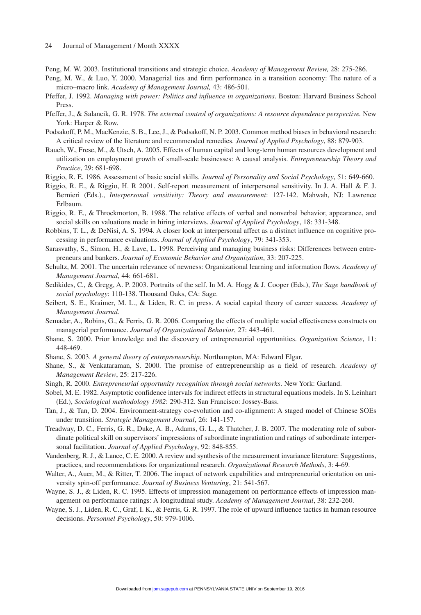Peng, M. W. 2003. Institutional transitions and strategic choice. *Academy of Management Review,* 28: 275-286.

- Peng, M. W., & Luo, Y. 2000. Managerial ties and firm performance in a transition economy: The nature of a micro–macro link. *Academy of Management Journal,* 43: 486-501.
- Pfeffer, J. 1992. *Managing with power: Politics and influence in organizations*. Boston: Harvard Business School Press.
- Pfeffer, J., & Salancik, G. R. 1978. *The external control of organizations: A resource dependence perspective.* New York: Harper & Row.
- Podsakoff, P. M., MacKenzie, S. B., Lee, J., & Podsakoff, N. P. 2003. Common method biases in behavioral research: A critical review of the literature and recommended remedies. *Journal of Applied Psychology*, 88: 879-903.
- Rauch, W., Frese, M., & Utsch, A. 2005. Effects of human capital and long-term human resources development and utilization on employment growth of small-scale businesses: A causal analysis. *Entrepreneurship Theory and Practice*, 29: 681-698.
- Riggio, R. E. 1986. Assessment of basic social skills. *Journal of Personality and Social Psychology*, 51: 649-660.
- Riggio, R. E., & Riggio, H. R 2001. Self-report measurement of interpersonal sensitivity. In J. A. Hall & F. J. Bernieri (Eds.)., *Interpersonal sensitivity: Theory and measurement*: 127-142. Mahwah, NJ: Lawrence Erlbaum.
- Riggio, R. E., & Throckmorton, B. 1988. The relative effects of verbal and nonverbal behavior, appearance, and social skills on valuations made in hiring interviews. *Journal of Applied Psychology*, 18: 331-348.
- Robbins, T. L., & DeNisi, A. S. 1994. A closer look at interpersonal affect as a distinct influence on cognitive processing in performance evaluations. *Journal of Applied Psychology*, 79: 341-353.
- Sarasvathy, S., Simon, H., & Lave, L. 1998. Perceiving and managing business risks: Differences between entrepreneurs and bankers. *Journal of Economic Behavior and Organization*, 33: 207-225.
- Schultz, M. 2001. The uncertain relevance of newness: Organizational learning and information flows. *Academy of Management Journal*, 44: 661-681.
- Sedikides, C., & Gregg, A. P. 2003. Portraits of the self. In M. A. Hogg & J. Cooper (Eds.), *The Sage handbook of social psychology*: 110-138. Thousand Oaks, CA: Sage.
- Seibert, S. E., Kraimer, M. L., & Liden, R. C. in press. A social capital theory of career success. *Academy of Management Journal.*
- Semadar, A., Robins, G., & Ferris, G. R. 2006. Comparing the effects of multiple social effectiveness constructs on managerial performance. *Journal of Organizational Behavior*, 27: 443-461.
- Shane, S. 2000. Prior knowledge and the discovery of entrepreneurial opportunities. *Organization Science*, 11: 448-469.
- Shane, S. 2003. *A general theory of entrepreneurship*. Northampton, MA: Edward Elgar.
- Shane, S., & Venkataraman, S. 2000. The promise of entrepreneurship as a field of research. *Academy of Management Review*, 25: 217-226.
- Singh, R. 2000. *Entrepreneurial opportunity recognition through social networks*. New York: Garland.
- Sobel, M. E. 1982. Asymptotic confidence intervals for indirect effects in structural equations models. In S. Leinhart (Ed.), *Sociological methodology 1982*: 290-312. San Francisco: Jossey-Bass.
- Tan, J., & Tan, D. 2004. Environment-strategy co-evolution and co-alignment: A staged model of Chinese SOEs under transition. *Strategic Management Journal*, 26: 141-157.
- Treadway, D. C., Ferris, G. R., Duke, A. B., Adams, G. L., & Thatcher, J. B. 2007. The moderating role of subordinate political skill on supervisors' impressions of subordinate ingratiation and ratings of subordinate interpersonal facilitation. *Journal of Applied Psychology*, 92: 848-855.
- Vandenberg, R. J., & Lance, C. E. 2000. A review and synthesis of the measurement invariance literature: Suggestions, practices, and recommendations for organizational research. *Organizational Research Methods*, 3: 4-69.
- Walter, A., Auer, M., & Ritter, T. 2006. The impact of network capabilities and entrepreneurial orientation on university spin-off performance*. Journal of Business Venturing*, 21: 541-567.
- Wayne, S. J., & Liden, R. C. 1995. Effects of impression management on performance effects of impression management on performance ratings: A longitudinal study. *Academy of Management Journal*, 38: 232-260.
- Wayne, S. J., Liden, R. C., Graf, I. K., & Ferris, G. R. 1997. The role of upward influence tactics in human resource decisions. *Personnel Psychology*, 50: 979-1006.